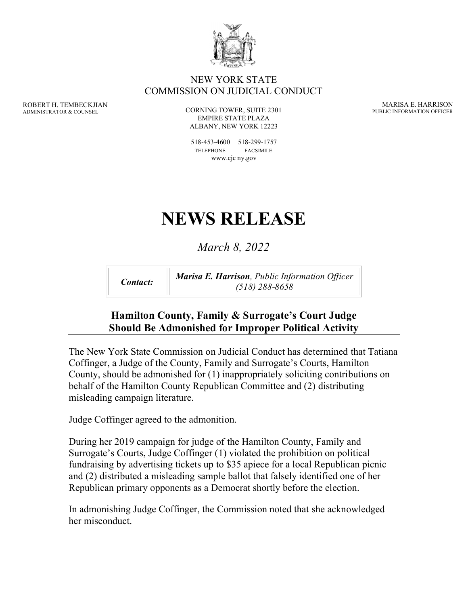

#### NEW YORK STATE COMMISSION ON JUDICIAL CONDUCT

ROBERT H. TEMBECKJIAN ADMINISTRATOR & COUNSEL

CORNING TOWER, SUITE 2301 EMPIRE STATE PLAZA ALBANY, NEW YORK 12223

518-453-4600 518-299-1757 TELEPHONE FACSIMILE www.cjc ny.gov

# **NEWS RELEASE**

# *March 8, 2022*

*Contact: Marisa E. Harrison, Public Information Officer (518) 288-8658*

#### **Hamilton County, Family & Surrogate's Court Judge Should Be Admonished for Improper Political Activity**

The New York State Commission on Judicial Conduct has determined that Tatiana Coffinger, a Judge of the County, Family and Surrogate's Courts, Hamilton County, should be admonished for (1) inappropriately soliciting contributions on behalf of the Hamilton County Republican Committee and (2) distributing misleading campaign literature.

Judge Coffinger agreed to the admonition.

During her 2019 campaign for judge of the Hamilton County, Family and Surrogate's Courts, Judge Coffinger (1) violated the prohibition on political fundraising by advertising tickets up to \$35 apiece for a local Republican picnic and (2) distributed a misleading sample ballot that falsely identified one of her Republican primary opponents as a Democrat shortly before the election.

In admonishing Judge Coffinger, the Commission noted that she acknowledged her misconduct.

MARISA E. HARRISON PUBLIC INFORMATION OFFICER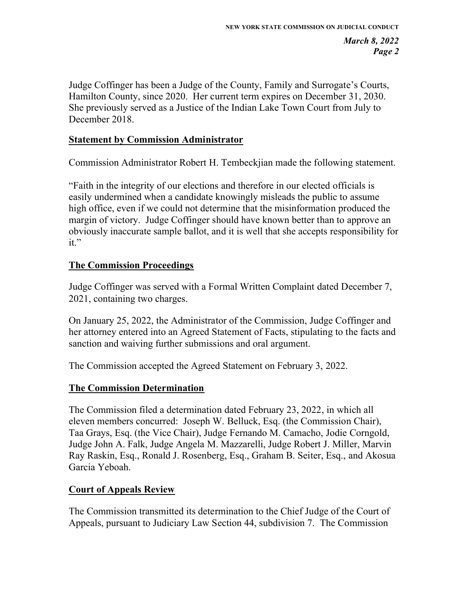Judge Coffinger has been a Judge of the County, Family and Surrogate's Courts, Hamilton County, since 2020. Her current term expires on December 31, 2030. She previously served as a Justice of the Indian Lake Town Court from July to December 2018.

#### **Statement by Commission Administrator**

Commission Administrator Robert H. Tembeckjian made the following statement.

"Faith in the integrity of our elections and therefore in our elected officials is easily undermined when a candidate knowingly misleads the public to assume high office, even if we could not determine that the misinformation produced the margin of victory. Judge Coffinger should have known better than to approve an obviously inaccurate sample ballot, and it is well that she accepts responsibility for it."

#### **The Commission Proceedings**

Judge Coffinger was served with a Formal Written Complaint dated December 7, 2021, containing two charges.

On January 25, 2022, the Administrator of the Commission, Judge Coffinger and her attorney entered into an Agreed Statement of Facts, stipulating to the facts and sanction and waiving further submissions and oral argument.

The Commission accepted the Agreed Statement on February 3, 2022.

#### **The Commission Determination**

The Commission filed a determination dated February 23, 2022, in which all eleven members concurred: Joseph W. Belluck, Esq. (the Commission Chair), Taa Grays, Esq. (the Vice Chair), Judge Fernando M. Camacho, Jodie Corngold, Judge John A. Falk, Judge Angela M. Mazzarelli, Judge Robert J. Miller, Marvin Ray Raskin, Esq., Ronald J. Rosenberg, Esq., Graham B. Seiter, Esq., and Akosua Garcia Yeboah.

#### **Court of Appeals Review**

The Commission transmitted its determination to the Chief Judge of the Court of Appeals, pursuant to Judiciary Law Section 44, subdivision 7. The Commission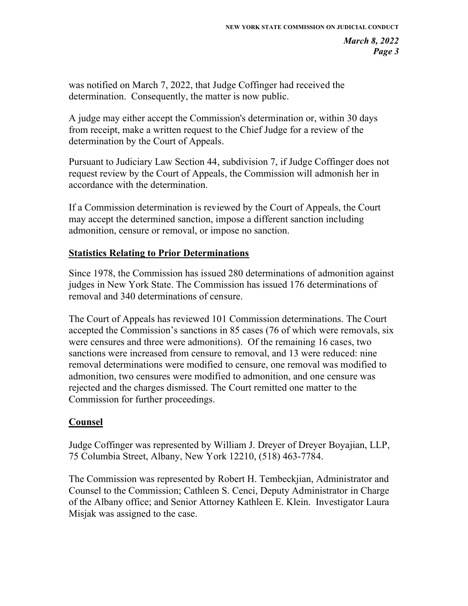was notified on March 7, 2022, that Judge Coffinger had received the determination. Consequently, the matter is now public.

A judge may either accept the Commission's determination or, within 30 days from receipt, make a written request to the Chief Judge for a review of the determination by the Court of Appeals.

Pursuant to Judiciary Law Section 44, subdivision 7, if Judge Coffinger does not request review by the Court of Appeals, the Commission will admonish her in accordance with the determination.

If a Commission determination is reviewed by the Court of Appeals, the Court may accept the determined sanction, impose a different sanction including admonition, censure or removal, or impose no sanction.

#### **Statistics Relating to Prior Determinations**

Since 1978, the Commission has issued 280 determinations of admonition against judges in New York State. The Commission has issued 176 determinations of removal and 340 determinations of censure.

The Court of Appeals has reviewed 101 Commission determinations. The Court accepted the Commission's sanctions in 85 cases (76 of which were removals, six were censures and three were admonitions). Of the remaining 16 cases, two sanctions were increased from censure to removal, and 13 were reduced: nine removal determinations were modified to censure, one removal was modified to admonition, two censures were modified to admonition, and one censure was rejected and the charges dismissed. The Court remitted one matter to the Commission for further proceedings.

### **Counsel**

Judge Coffinger was represented by William J. Dreyer of Dreyer Boyajian, LLP, 75 Columbia Street, Albany, New York 12210, (518) 463-7784.

The Commission was represented by Robert H. Tembeckjian, Administrator and Counsel to the Commission; Cathleen S. Cenci, Deputy Administrator in Charge of the Albany office; and Senior Attorney Kathleen E. Klein. Investigator Laura Misjak was assigned to the case.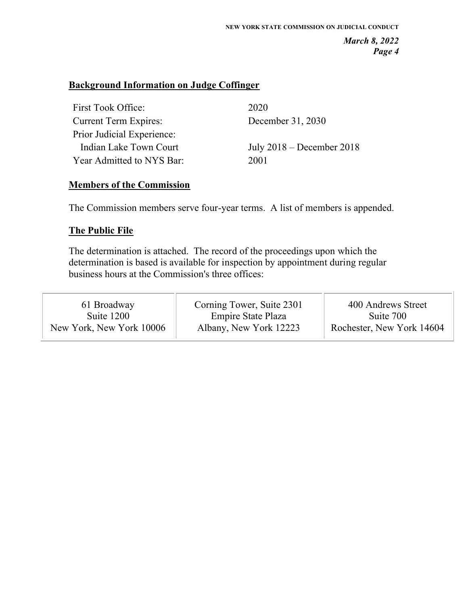#### **Background Information on Judge Coffinger**

| First Took Office:           | 2020                        |
|------------------------------|-----------------------------|
| <b>Current Term Expires:</b> | December 31, 2030           |
| Prior Judicial Experience:   |                             |
| Indian Lake Town Court       | July $2018$ – December 2018 |
| Year Admitted to NYS Bar:    | 2001                        |

#### **Members of the Commission**

The Commission members serve four-year terms. A list of members is appended.

#### **The Public File**

The determination is attached. The record of the proceedings upon which the determination is based is available for inspection by appointment during regular business hours at the Commission's three offices: